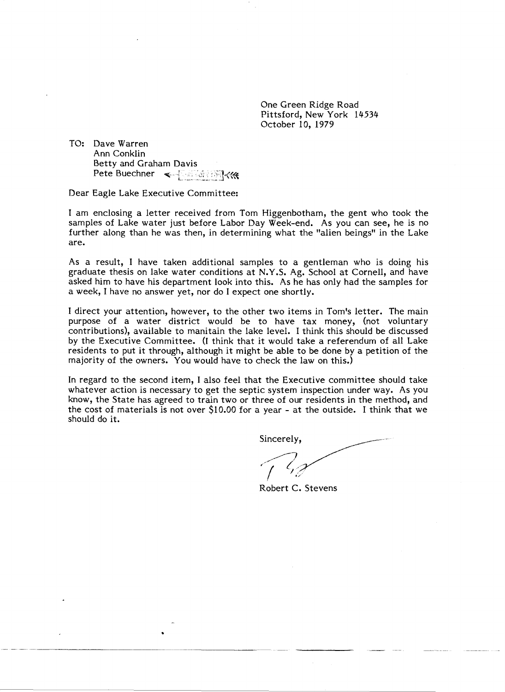One Green Ridge Road Pittsford, New York 14534 October 10, 1979

TO: Dave Warren Ann Conklin Betty and Graham Davis Pete Buechner ~.~:.~ .. \_~.'5J<~

Dear Eagle Lake Executive Committee:

•

I am enclosing a letter received from Tom Higgenbotham, the gent who took the samples of Lake water just before Labor Day Week-end. As you can see, he is no further along than he was then, in determining what the "alien beings" in the Lake are.

As a result, I have taken additional samples to a gentleman who is doing his graduate thesis on lake water conditions at N. Y .S. Ag. School at Cornell, and have asked him to have his department look into this. As he has only had the samples for a week, I have no answer yet, nor do I expect one shortly.

I direct your attention, however, to the other two items in Tom's letter. The main purpose of a water district would be to have tax money, (not voluntary contributions), available to manitain the lake level. I think this should be discussed by the Executive Committee. (I think that it would take a referendum of all Lake residents to put it through, although it might be able to be done by a petition of the majority of the owners. You would have to check the law on this.)

In regard to the second item, I also feel that the Executive committee should take whatever action is necessary to get the septic system inspection under way. As you know, the State has agreed to train two or three of our residents in the method, and the cost of materials is not over \$10.00 for a year - at the outside. I think that we should do it.

Sincerely. "'/I~/ *l// I, ..*  I,'

Robert C. Stevens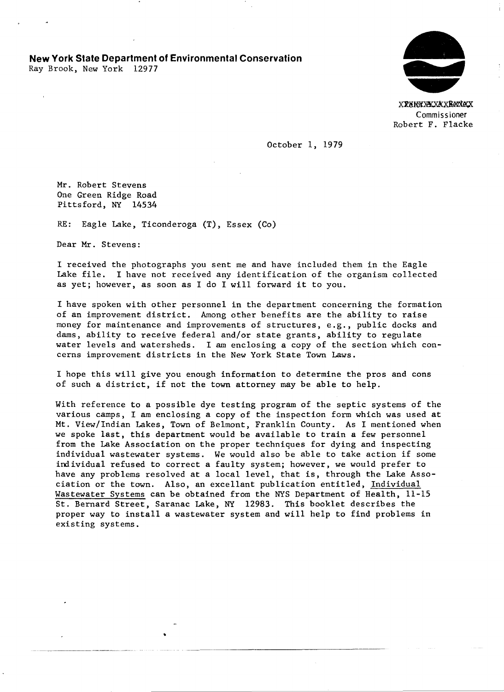**New York State Department of Environmental Conservation** 

Ray Brook, New York 12977



Commissioner Robert F. Flacke

October 1, 1979

Mr. Robert Stevens One Green Ridge Road Pittsford, NY 14534

RE: Eagle Lake, Ticonderoga (T), Essex (Co)

Dear Mr. Stevens:

I received the photographs you sent me and have included them in the Eagle Lake file. I have not received any identification of the organism collected as yet; however, as soon as I do I will forward it to you.

I have spoken with other personnel in the department concerning the formation of an improvement district. Among other benefits are the ability to raise money for maintenance and improvements of structures, e.g., public docks and dams, ability to receive federal and/or state grants, ability to regulate water levels and watersheds. I am enclosing a copy of the section which concerns improvement districts in the New York State Town Laws.

I hope this will give you enough information to determine the pros and cons of such a district, if not the town attorney may be able to help.

With reference to a possible dye testing program of the septic systems of the various camps, I am enclosing a copy of the inspection form which was used at Mt. View/Indian Lakes, Town of Belmont, Franklin County. As I mentioned when we spoke last, this department would be available to train a few personnel from the Lake Association on the proper techniques for dying and inspecting individual wastewater systems. We would also be able to take action if some individual refused to correct a faulty system; however, we would prefer to have any problems resolved at a local level, that is, through the Lake Association or the town. Also, an excellant publication entitled, Individual Wastewater Systems can be obtained from the NYS Department of Health, 11-15 St. Bernard Street, Saranac Lake, NY 12983. This booklet describes the proper way to install a wastewater system and will help to find problems in existing systems.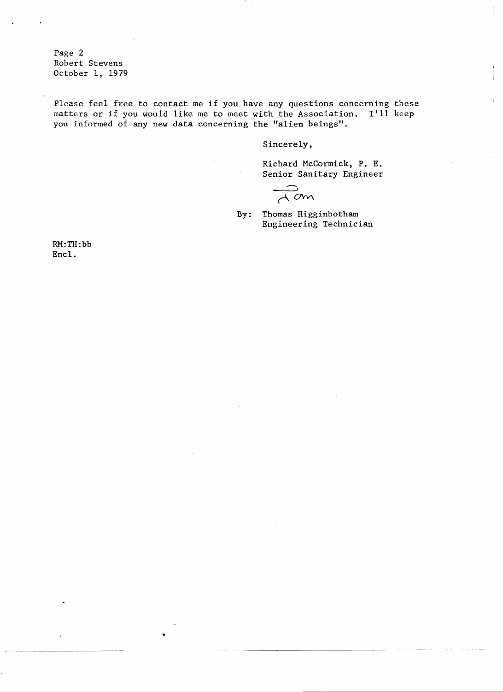Page 2 Robert Stevens October 1, 1979

Please feel free to contact me if you have any questions concerning these matters or if you would like me to meet with the Association. I'll keep you informed of any new data concerning the "alien beings".

Sincerely,

Richard McCormick, P. E. Senior Sanitary Engineer

 $\overline{A}$  am

By: Thomas Higginbotham Engineering Technician

RM:TH:bb Encl.

•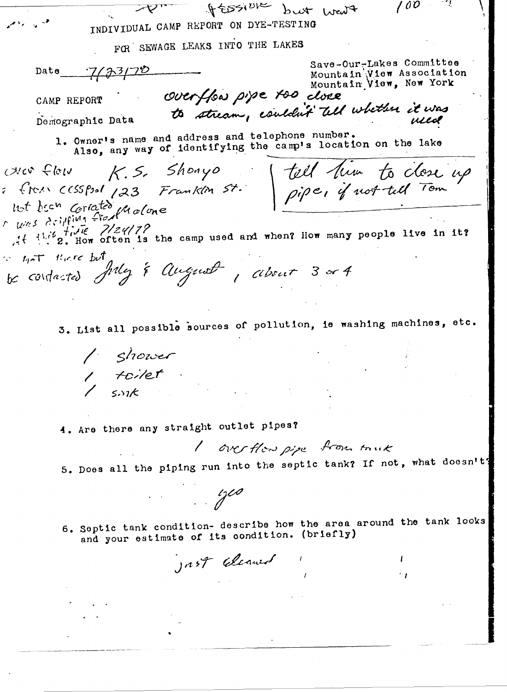$\rightarrow$ If ESSI<sup>DIE</sup> but went  $100$ INDIVIDUAL CAMP REPORT ON DYE-TESTING FOR SEWAGE LEAKS INTO THE LAKES Save-Our-Lakes Committee  $7/33/70$  $Data$ Mountain View Association mountain vier Association.<br>Mountain Vier, New York<br>to stream, couldn't tell whether it was CAMP REPORT Demographic Data 1. Owner's name and address and telephone number. wer flow K.S. Shonyo [ till lim to close up<br>from cosspot 123 Frankin st. pipe, if not tell Tom Also, any way of identifying the camp's location on the lake  $u^{(n)}$  . The  $7/24/7$ <br>it its fine often is the camp used and when? How many people live in it? is not there but be contacted July & August, about 3 or 4 3. List all possible sources of pollution, ie washing machines, etc. | shower<br>| toilet<br>| sink 4. Are there any straight outlet pipes? I overflow pipe from truck 5. Does all the piping run into the septic tank? If not, what doesn't?  $\frac{1}{2}$ 6. Septic tank condition- describe how the area around the tank looks and your estimate of its condition. (briefly) JAST Eleaned